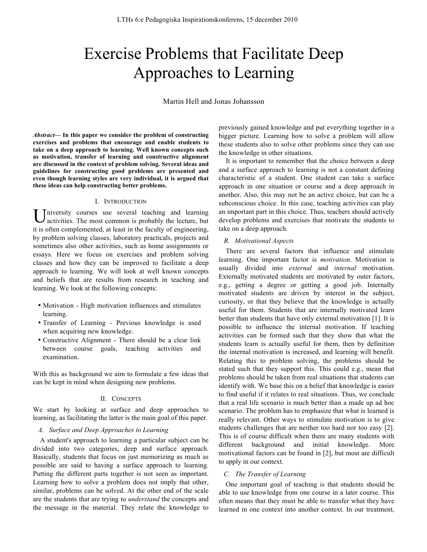# Exercise Problems that Facilitate Deep Approaches to Learning

Martin Hell and Jonas Johansson

*Abstract***— In this paper we consider the problem of constructing exercises and problems that encourage and enable students to take on a deep approach to learning. Well known concepts such as motivation, transfer of learning and constructive alignment are discussed in the context of problem solving. Several ideas and guidelines for constructing good problems are presented and even though learning styles are very individual, it is argued that these ideas can help constructing better problems.** 

### I. INTRODUCTION

niversity courses use several teaching and learning activities. The most common is probably the lecture, but it is often complemented, at least in the faculty of engineering, by problem solving classes, laboratory practicals, projects and sometimes also other activities, such as home assignments or essays. Here we focus on exercises and problem solving classes and how they can be improved to facilitate a deep approach to learning. We will look at well known concepts and beliefs that are results from research in teaching and learning. We look at the following concepts: U

- Motivation High motivation influences and stimulates learning.
- Transfer of Learning Previous knowledge is used when acquiring new knowledge.
- Constructive Alignment There should be a clear link between course goals, teaching activities and examination.

With this as background we aim to formulate a few ideas that can be kept in mind when designing new problems.

## II. CONCEPTS

We start by looking at surface and deep approaches to learning, as facilitating the latter is the main goal of this paper.

## *A. Surface and Deep Approaches to Learning*

A student's approach to learning a particular subject can be divided into two categories, deep and surface approach. Basically, students that focus on just memorizing as much as possible are said to having a surface approach to learning. Putting the different parts together is not seen as important. Learning how to solve a problem does not imply that other, similar, problems can be solved. At the other end of the scale are the students that are trying to *understand* the concepts and the message in the material. They relate the knowledge to previously gained knowledge and put everything together in a bigger picture. Learning how to solve a problem will allow these students also to solve other problems since they can use the knowledge in other situations.

It is important to remember that the choice between a deep and a surface approach to learning is not a constant defining characteristic of a student. One student can take a surface approach in one situation or course and a deep approach in another. Also, this may not be an active choice, but can be a subconscious choice. In this case, teaching activities can play an important part in this choice. Thus, teachers should actively develop problems and exercises that motivate the students to take on a deep approach.

## *B. Motivational Aspects*

There are several factors that influence and stimulate learning. One important factor is *motivation*. Motivation is usually divided into *external* and *internal* motivation. Externally motivated students are motivated by outer factors, e.g., getting a degree or getting a good job. Internally motivated students are driven by interest in the subject, curiosity, or that they believe that the knowledge is actually useful for them. Students that are internally motivated learn better than students that have only external motivation [1]. It is possible to influence the internal motivation. If teaching activities can be formed such that they show that what the students learn is actually useful for them, then by definition the internal motivation is increased, and learning will benefit. Relating this to problem solving, the problems should be stated such that they support this. This could e.g., mean that problems should be taken from real situations that students can identify with. We base this on a belief that knowledge is easier to find useful if it relates to real situations. Thus, we conclude that a real life scenario is much better than a made up ad hoc scenario. The problem has to emphasize that what is learned is really relevant. Other ways to stimulate motivation is to give students challenges that are neither too hard nor too easy [2]. This is of course difficult when there are many students with different background and initial knowledge. More motivational factors can be found in [2], but most are difficult to apply in our context.

#### *C. The Transfer of Learning*

One important goal of teaching is that students should be able to use knowledge from one course in a later course. This often means that they must be able to transfer what they have learned in one context into another context. In our treatment,